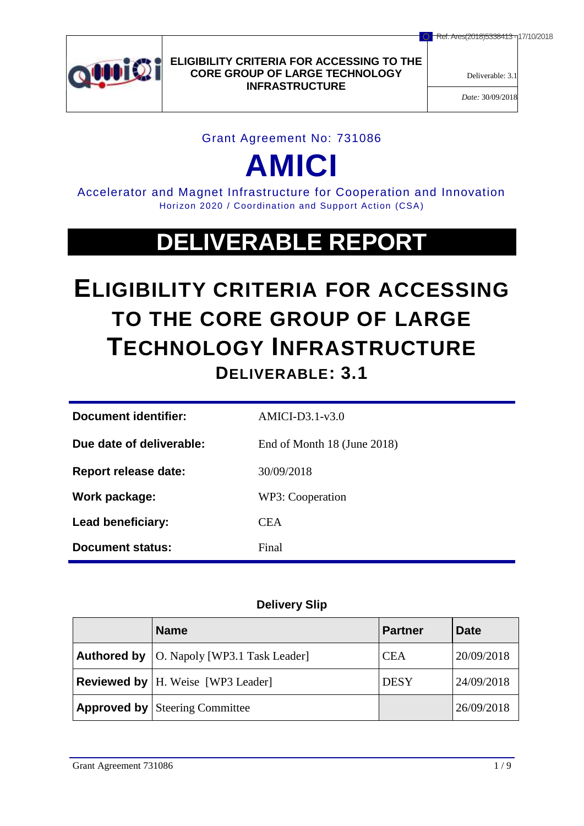

Deliverable: 3.1

*Date:* 30/09/2018

#### Grant Agreement No: 731086

# **AMICI**

Accelerator and Magnet Infrastructure for Cooperation and Innovation Horizon 2020 / Coordination and Support Action (CSA)

## **DELIVERABLE REPORT**

## **ELIGIBILITY CRITERIA FOR ACCESSING TO THE CORE GROUP OF LARGE TECHNOLOGY INFRASTRUCTURE DELIVERABLE: 3.1**

| Document identifier:        | $AMICI-D3.1-v3.0$           |
|-----------------------------|-----------------------------|
| Due date of deliverable:    | End of Month 18 (June 2018) |
| <b>Report release date:</b> | 30/09/2018                  |
| Work package:               | WP3: Cooperation            |
| Lead beneficiary:           | <b>CEA</b>                  |
| <b>Document status:</b>     | Final                       |

## **Delivery Slip**

| <b>Name</b>                                        | <b>Partner</b> | <b>Date</b> |
|----------------------------------------------------|----------------|-------------|
| <b>Authored by</b>   O. Napoly [WP3.1 Task Leader] | <b>CEA</b>     | 20/09/2018  |
| <b>Reviewed by</b>   H. Weise [WP3 Leader]         | <b>DESY</b>    | 24/09/2018  |
| <b>Approved by   Steering Committee</b>            |                | 26/09/2018  |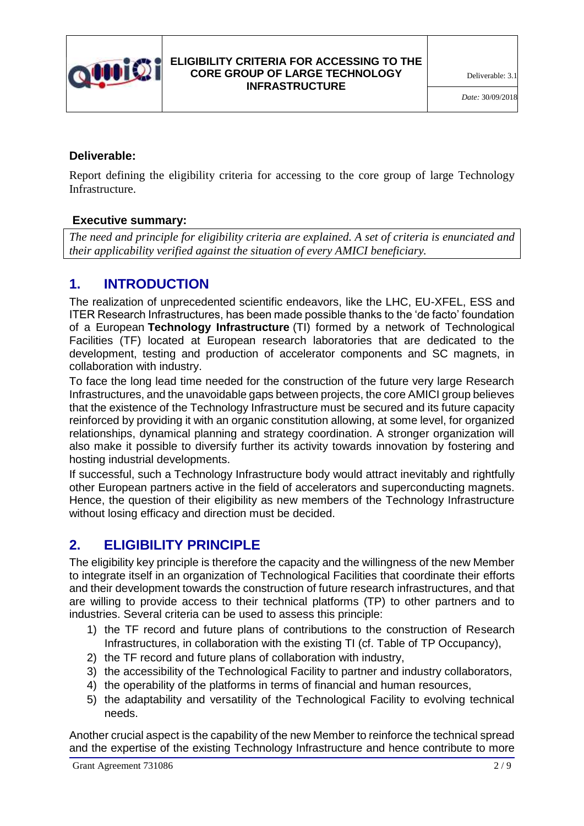

## **Deliverable:**

Report defining the eligibility criteria for accessing to the core group of large Technology Infrastructure.

## **Executive summary:**

*The need and principle for eligibility criteria are explained. A set of criteria is enunciated and their applicability verified against the situation of every AMICI beneficiary.*

## **1. INTRODUCTION**

The realization of unprecedented scientific endeavors, like the LHC, EU-XFEL, ESS and ITER Research Infrastructures, has been made possible thanks to the 'de facto' foundation of a European **Technology Infrastructure** (TI) formed by a network of Technological Facilities (TF) located at European research laboratories that are dedicated to the development, testing and production of accelerator components and SC magnets, in collaboration with industry.

To face the long lead time needed for the construction of the future very large Research Infrastructures, and the unavoidable gaps between projects, the core AMICI group believes that the existence of the Technology Infrastructure must be secured and its future capacity reinforced by providing it with an organic constitution allowing, at some level, for organized relationships, dynamical planning and strategy coordination. A stronger organization will also make it possible to diversify further its activity towards innovation by fostering and hosting industrial developments.

If successful, such a Technology Infrastructure body would attract inevitably and rightfully other European partners active in the field of accelerators and superconducting magnets. Hence, the question of their eligibility as new members of the Technology Infrastructure without losing efficacy and direction must be decided.

## **2. ELIGIBILITY PRINCIPLE**

The eligibility key principle is therefore the capacity and the willingness of the new Member to integrate itself in an organization of Technological Facilities that coordinate their efforts and their development towards the construction of future research infrastructures, and that are willing to provide access to their technical platforms (TP) to other partners and to industries. Several criteria can be used to assess this principle:

- 1) the TF record and future plans of contributions to the construction of Research Infrastructures, in collaboration with the existing TI (cf. Table of TP Occupancy),
- 2) the TF record and future plans of collaboration with industry,
- 3) the accessibility of the Technological Facility to partner and industry collaborators,
- 4) the operability of the platforms in terms of financial and human resources,
- 5) the adaptability and versatility of the Technological Facility to evolving technical needs.

Another crucial aspect is the capability of the new Member to reinforce the technical spread and the expertise of the existing Technology Infrastructure and hence contribute to more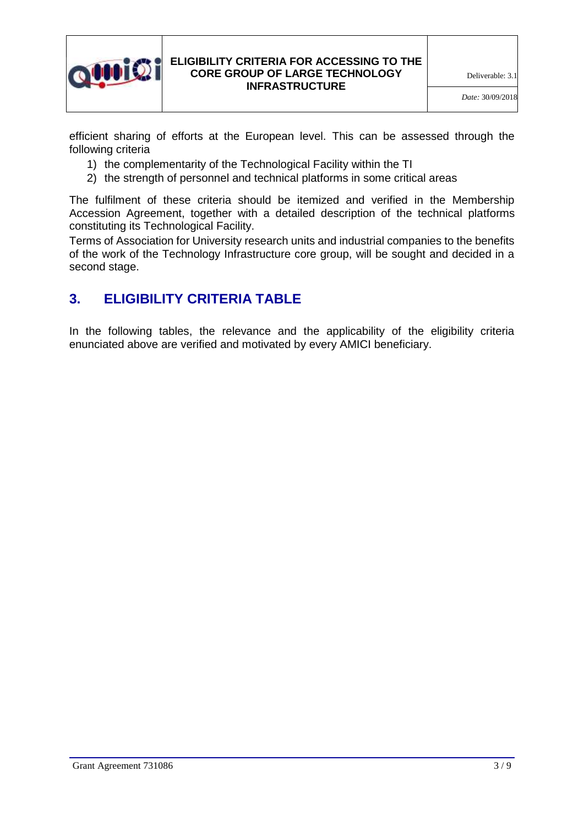

efficient sharing of efforts at the European level. This can be assessed through the following criteria

- 1) the complementarity of the Technological Facility within the TI
- 2) the strength of personnel and technical platforms in some critical areas

The fulfilment of these criteria should be itemized and verified in the Membership Accession Agreement, together with a detailed description of the technical platforms constituting its Technological Facility.

Terms of Association for University research units and industrial companies to the benefits of the work of the Technology Infrastructure core group, will be sought and decided in a second stage.

## **3. ELIGIBILITY CRITERIA TABLE**

In the following tables, the relevance and the applicability of the eligibility criteria enunciated above are verified and motivated by every AMICI beneficiary.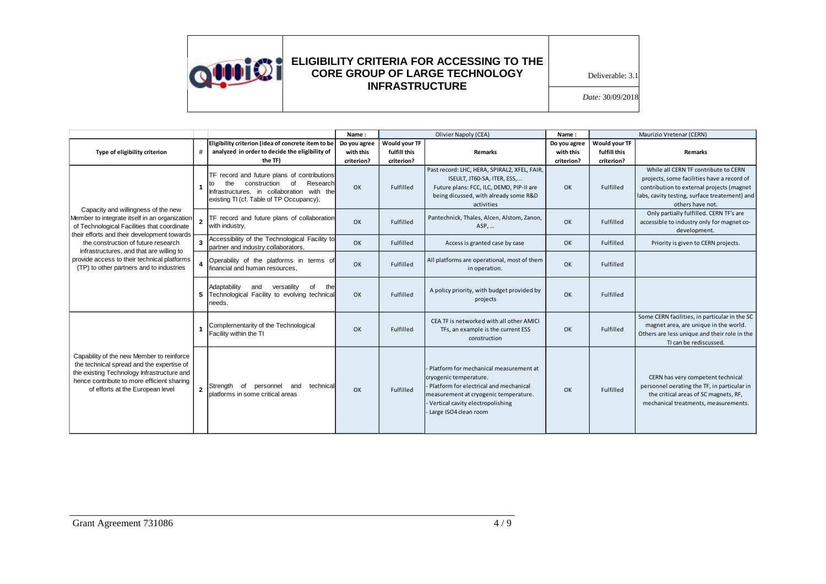

Deliverable: 3.1

|                                                                                                                                                                                                                        |                         |                                                                                                                                                                                      | Name:        | Olivier Napoly (CEA) |                                                                                                                                                                                                                      | Name:        |               | Maurizio Vretenar (CERN)                                                                                                                                                                             |
|------------------------------------------------------------------------------------------------------------------------------------------------------------------------------------------------------------------------|-------------------------|--------------------------------------------------------------------------------------------------------------------------------------------------------------------------------------|--------------|----------------------|----------------------------------------------------------------------------------------------------------------------------------------------------------------------------------------------------------------------|--------------|---------------|------------------------------------------------------------------------------------------------------------------------------------------------------------------------------------------------------|
|                                                                                                                                                                                                                        |                         | Eligibility criterion (idea of concrete item to be                                                                                                                                   | Do you agree | Would your TF        |                                                                                                                                                                                                                      | Do you agree | Would your TF |                                                                                                                                                                                                      |
| Type of eligibility criterion                                                                                                                                                                                          | #                       | analyzed in order to decide the eligibility of                                                                                                                                       | with this    | fulfill this         | Remarks                                                                                                                                                                                                              | with this    | fulfill this  | <b>Remarks</b>                                                                                                                                                                                       |
|                                                                                                                                                                                                                        |                         | the TF)                                                                                                                                                                              | criterion?   | criterion?           |                                                                                                                                                                                                                      | criterion?   | criterion?    |                                                                                                                                                                                                      |
|                                                                                                                                                                                                                        |                         | TF record and future plans of contributions<br>construction<br>of<br>Research<br>the<br>to<br>Infrastructures, in collaboration with the<br>existing TI (cf. Table of TP Occupancy), | OK           | Fulfilled            | Past record: LHC, HERA, SPIRAL2, XFEL, FAIR,<br>ISEULT, JT60-SA, ITER, ESS,<br>Future plans: FCC, ILC, DEMO, PIP-II are<br>being dicussed, with already some R&D<br>activities                                       | OK           | Fulfilled     | While all CERN TF contribute to CERN<br>projects, some facilities have a record of<br>contribution to external projects (magnet<br>labs, cavity testing, surface treatement) and<br>others have not. |
| Capacity and willingness of the new<br>Member to integrate itself in an organization<br>of Technological Facilities that coordinate<br>their efforts and their development towards                                     |                         | TF record and future plans of collaboration<br>with industry,                                                                                                                        | OK           | Fulfilled            | Pantechnick, Thales, Alcen, Alstom, Zanon,<br>ASP,                                                                                                                                                                   | OK           | Fulfilled     | Only partially fulfilled. CERN TF's are<br>accessible to industry only for magnet co-<br>development.                                                                                                |
| the construction of future research                                                                                                                                                                                    | $\overline{\mathbf{3}}$ | Accessibility of the Technological Facility to<br>partner and industry collaborators,                                                                                                | OK           | Fulfilled            | Access is granted case by case                                                                                                                                                                                       | <b>OK</b>    | Fulfilled     | Priority is given to CERN projects.                                                                                                                                                                  |
| infrastructures, and that are willing to<br>provide access to their technical platforms<br>(TP) to other partners and to industries                                                                                    |                         | Operability of the platforms in terms of<br>financial and human resources,                                                                                                           | OK           | Fulfilled            | All platforms are operational, most of them<br>in operation.                                                                                                                                                         | OK           | Fulfilled     |                                                                                                                                                                                                      |
|                                                                                                                                                                                                                        | 5                       | Adaptability<br>the<br>versatility<br>and<br>οf<br>Technological Facility to evolving technical<br>needs.                                                                            | OK           | Fulfilled            | A policy priority, with budget provided by<br>projects                                                                                                                                                               | OK           | Fulfilled     |                                                                                                                                                                                                      |
| Capability of the new Member to reinforce<br>the technical spread and the expertise of<br>the existing Technology Infrastructure and<br>hence contribute to more efficient sharing<br>of efforts at the European level |                         | Complementarity of the Technological<br>Facility within the TI                                                                                                                       | OK           | Fulfilled            | CEA TF is networked with all other AMICI<br>TFs, an example is the current ESS<br>construction                                                                                                                       | OK           | Fulfilled     | Some CERN facilities, in particular in the SC<br>magnet area, are unique in the world.<br>Others are less unique and their role in the<br>TI can be rediscussed.                                     |
|                                                                                                                                                                                                                        | $\overline{2}$          | technical<br>Strength<br>of<br>personnel and<br>platforms in some critical areas                                                                                                     | OK           | Fulfilled            | - Platform for mechanical measurement at<br>cryogenic temperature.<br>Platform for electrical and mechanical<br>measurement at cryogenic temperature.<br>Vertical cavity electropolishing<br>- Large ISO4 clean room | OK           | Fulfilled     | CERN has very competent technical<br>personnel oerating the TF, in particular in<br>the critical areas of SC magnets, RF,<br>mechanical treatments, measurements.                                    |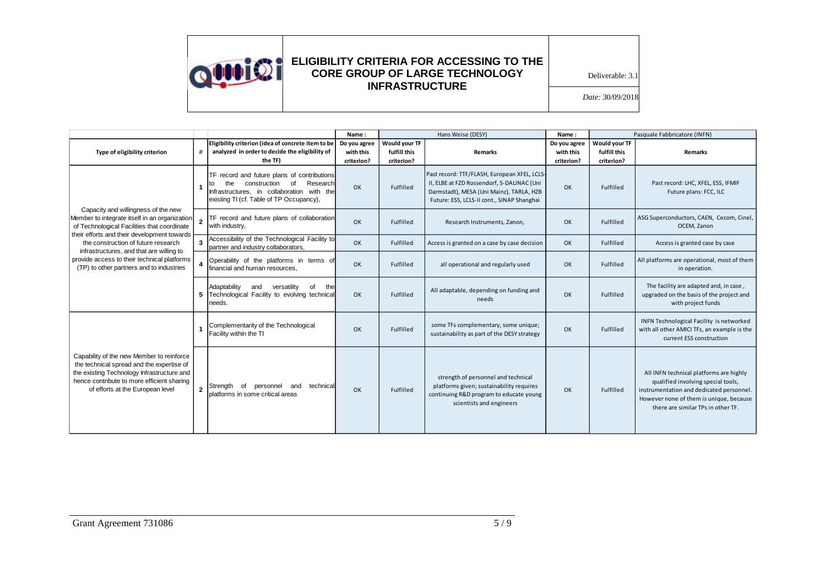

Deliverable: 3.1

|                                                                                                                                                                                                                        |                         |                                                                                                                                                                                      | Name:                                   | Hans Weise (DESY)                           |                                                                                                                                                                                      | Name:                                   |                                             | Pasquale Fabbricatore (INFN)                                                                                                                                                                               |
|------------------------------------------------------------------------------------------------------------------------------------------------------------------------------------------------------------------------|-------------------------|--------------------------------------------------------------------------------------------------------------------------------------------------------------------------------------|-----------------------------------------|---------------------------------------------|--------------------------------------------------------------------------------------------------------------------------------------------------------------------------------------|-----------------------------------------|---------------------------------------------|------------------------------------------------------------------------------------------------------------------------------------------------------------------------------------------------------------|
| Type of eligibility criterion                                                                                                                                                                                          | #                       | Eligibility criterion (idea of concrete item to be<br>analyzed in order to decide the eligibility of<br>the TF)                                                                      | Do you agree<br>with this<br>criterion? | Would your TF<br>fulfill this<br>criterion? | <b>Remarks</b>                                                                                                                                                                       | Do you agree<br>with this<br>criterion? | Would your TF<br>fulfill this<br>criterion? | <b>Remarks</b>                                                                                                                                                                                             |
|                                                                                                                                                                                                                        |                         | TF record and future plans of contributions<br>of<br>Research<br>construction<br>the<br>t٥<br>Infrastructures, in collaboration with the<br>existing TI (cf. Table of TP Occupancy), | OK                                      | Fulfilled                                   | Past record: TTF/FLASH, European XFEL, LCLS-<br>II, ELBE at FZD Rossendorf, S-DALINAC (Uni<br>Darmstadt), MESA (Uni Mainz), TARLA, HZB<br>Future: ESS, LCLS-II cont., SINAP Shanghai | OK                                      | Fulfilled                                   | Past record: LHC, XFEL, ESS, IFMIF<br>Future plans: FCC, ILC                                                                                                                                               |
| Capacity and willingness of the new<br>Member to integrate itself in an organization<br>of Technological Facilities that coordinate                                                                                    |                         | TF record and future plans of collaboration<br>with industry,                                                                                                                        | OK                                      | Fulfilled                                   | Research Instruments, Zanon,                                                                                                                                                         | OK                                      | Fulfilled                                   | ASG Superconductors, CAEN, Cecom, Cinel,<br>OCEM, Zanon                                                                                                                                                    |
| their efforts and their development towards<br>the construction of future research                                                                                                                                     | $\overline{\mathbf{3}}$ | Accessibility of the Technological Facility to<br>partner and industry collaborators,                                                                                                | OK                                      | Fulfilled                                   | Access is granted on a case by case decision                                                                                                                                         | OK                                      | Fulfilled                                   | Access is granted case by case                                                                                                                                                                             |
| infrastructures, and that are willing to<br>provide access to their technical platforms<br>(TP) to other partners and to industries                                                                                    |                         | Operability of the platforms in terms of<br>financial and human resources,                                                                                                           | O <sub>K</sub>                          | Fulfilled                                   | all operational and regularly used                                                                                                                                                   | OK                                      | Fulfilled                                   | All platforms are operational, most of them<br>in operation.                                                                                                                                               |
|                                                                                                                                                                                                                        | 5                       | Adaptability<br>versatility<br>the<br>and<br>Ωf<br>Technological Facility to evolving technical<br>needs.                                                                            | OK                                      | Fulfilled                                   | All adaptable, depending on funding and<br>needs                                                                                                                                     | OK                                      | Fulfilled                                   | The facility are adapted and, in case,<br>upgraded on the basis of the project and<br>with project funds                                                                                                   |
| Capability of the new Member to reinforce<br>the technical spread and the expertise of<br>the existing Technology Infrastructure and<br>hence contribute to more efficient sharing<br>of efforts at the European level |                         | Complementarity of the Technological<br>Facility within the TI                                                                                                                       | OK                                      | Fulfilled                                   | some TFs complementary, some unique;<br>sustainability as part of the DESY strategy                                                                                                  | OK                                      | Fulfilled                                   | INFN Technological Facility is networked<br>with all other AMICI TFs, an example is the<br>current ESS construction                                                                                        |
|                                                                                                                                                                                                                        | $\overline{2}$          | and<br>technical<br>Strength<br>of<br>personnel<br>platforms in some critical areas                                                                                                  | OK                                      | Fulfilled                                   | strength of personnel and technical<br>platforms given; sustainability requires<br>continuing R&D program to educate young<br>scientists and engineers                               | OK                                      | Fulfilled                                   | All INFN technical platforms are highly<br>qualified involving special tools,<br>instrumentation and dedicated personnel.<br>However none of them is unique, because<br>there are similar TPs in other TF. |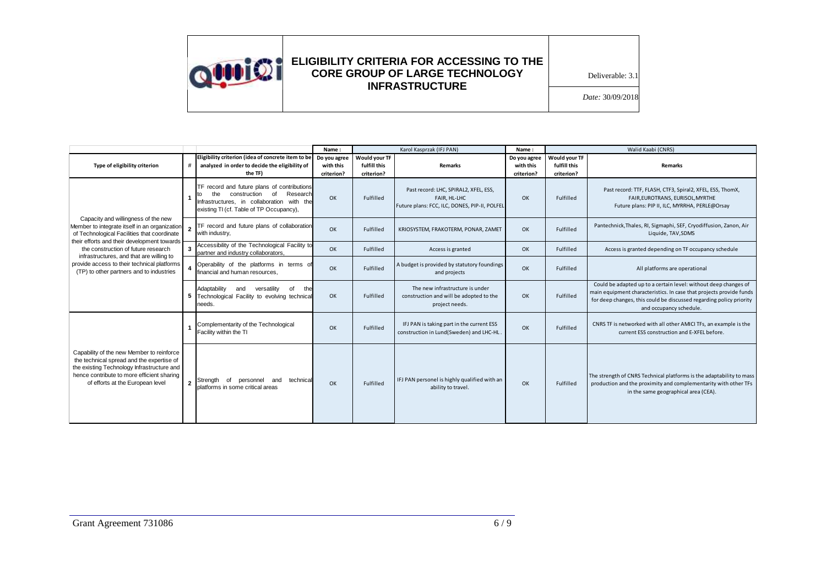

Deliverable: 3.1

|                                                                                                                                                                                                                           |                |                                                                                                                                                                                | Name:                                   | Karol Kasprzak (IFJ PAN)                    |                                                                                                        | Name:                                   | Walid Kaabi (CNRS)                          |                                                                                                                                                                                                                                          |  |
|---------------------------------------------------------------------------------------------------------------------------------------------------------------------------------------------------------------------------|----------------|--------------------------------------------------------------------------------------------------------------------------------------------------------------------------------|-----------------------------------------|---------------------------------------------|--------------------------------------------------------------------------------------------------------|-----------------------------------------|---------------------------------------------|------------------------------------------------------------------------------------------------------------------------------------------------------------------------------------------------------------------------------------------|--|
| Type of eligibility criterion                                                                                                                                                                                             | #              | Eligibility criterion (idea of concrete item to be<br>analyzed in order to decide the eligibility of<br>the TF)                                                                | Do you agree<br>with this<br>criterion? | Would your TF<br>fulfill this<br>criterion? | <b>Remarks</b>                                                                                         | Do you agree<br>with this<br>criterion? | Would your TF<br>fulfill this<br>criterion? | Remarks                                                                                                                                                                                                                                  |  |
|                                                                                                                                                                                                                           |                | TF record and future plans of contributions<br>of<br>construction<br>Research<br>the<br>Infrastructures, in collaboration with the<br>existing TI (cf. Table of TP Occupancy), | OK                                      | Fulfilled                                   | Past record: LHC, SPIRAL2, XFEL, ESS,<br>FAIR, HL-LHC<br>Future plans: FCC, ILC, DONES, PIP-II, POLFEL | OK                                      | Fulfilled                                   | Past record: TTF, FLASH, CTF3, Spiral2, XFEL, ESS, ThomX,<br>FAIR, EUROTRANS, EURISOL, MYRTHE<br>Future plans: PIP II, ILC, MYRRHA, PERLE@Orsay                                                                                          |  |
| Capacity and willingness of the new<br>Member to integrate itself in an organization<br>of Technological Facilities that coordinate                                                                                       |                | TF record and future plans of collaboration<br>with industry,                                                                                                                  | OK                                      | Fulfilled                                   | KRIOSYSTEM, FRAKOTERM, PONAR, ZAMET                                                                    | OK                                      | Fulfilled                                   | Pantechnick, Thales, RI, Sigmaphi, SEF, Cryodiffusion, Zanon, Air<br>Liquide, TAV, SDMS                                                                                                                                                  |  |
| their efforts and their development towards<br>the construction of future research<br>infrastructures, and that are willing to<br>provide access to their technical platforms<br>(TP) to other partners and to industries | $\mathbf{3}$   | Accessibility of the Technological Facility to<br>partner and industry collaborators,                                                                                          | OK                                      | Fulfilled                                   | Access is granted                                                                                      | OK                                      | Fulfilled                                   | Access is granted depending on TF occupancy schedule                                                                                                                                                                                     |  |
|                                                                                                                                                                                                                           |                | Operability of the platforms in terms of<br>financial and human resources.                                                                                                     | OK                                      | Fulfilled                                   | A budget is provided by statutory foundings<br>and projects                                            | OK                                      | Fulfilled                                   | All platforms are operational                                                                                                                                                                                                            |  |
|                                                                                                                                                                                                                           |                | Adaptability<br>and<br>the<br>5 Technological Facility to evolving technical<br>needs.                                                                                         | OK                                      | Fulfilled                                   | The new infrastructure is under<br>construction and will be adopted to the<br>project needs.           | OK                                      | Fulfilled                                   | Could be adapted up to a certain level: without deep changes of<br>main equipment characteristics. In case that projects provide funds<br>for deep changes, this could be discussed regarding policy priority<br>and occupancy schedule. |  |
| Capability of the new Member to reinforce<br>the technical spread and the expertise of<br>the existing Technology Infrastructure and<br>hence contribute to more efficient sharing<br>of efforts at the European level    |                | Complementarity of the Technological<br>Facility within the TI                                                                                                                 | OK                                      | Fulfilled                                   | IFJ PAN is taking part in the current ESS<br>construction in Lund(Sweden) and LHC-HL                   | OK                                      | Fulfilled                                   | CNRS TF is networked with all other AMICI TFs, an example is the<br>current ESS construction and E-XFEL before.                                                                                                                          |  |
|                                                                                                                                                                                                                           | $\overline{2}$ | Strength of personnel and technical<br>platforms in some critical areas                                                                                                        | OK                                      | Fulfilled                                   | IFJ PAN personel is highly qualified with an<br>ability to travel.                                     | OK                                      | Fulfilled                                   | The strength of CNRS Technical platforms is the adaptability to mass<br>production and the proximity and complementarity with other TFs<br>in the same geographical area (CEA).                                                          |  |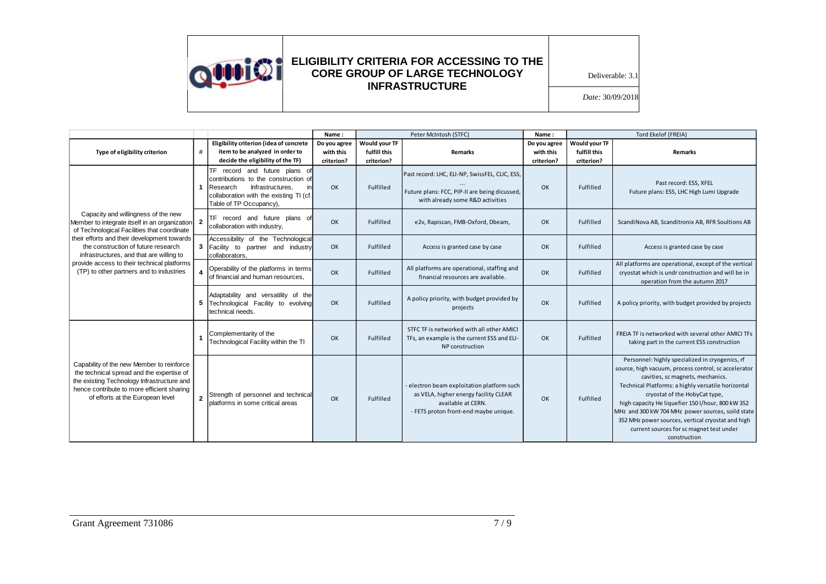

Deliverable: 3.1

|                                                                                                                                                                                                                           |                |                                                                                                                                                                                   | Name:                                   | Peter McIntosh (STFC)                       |                                                                                                                                                    | Name:                                   | Tord Ekelof (FREIA)                         |                                                                                                                                                                                                                                                                                                                                                                                                                                                               |
|---------------------------------------------------------------------------------------------------------------------------------------------------------------------------------------------------------------------------|----------------|-----------------------------------------------------------------------------------------------------------------------------------------------------------------------------------|-----------------------------------------|---------------------------------------------|----------------------------------------------------------------------------------------------------------------------------------------------------|-----------------------------------------|---------------------------------------------|---------------------------------------------------------------------------------------------------------------------------------------------------------------------------------------------------------------------------------------------------------------------------------------------------------------------------------------------------------------------------------------------------------------------------------------------------------------|
| Type of eligibility criterion                                                                                                                                                                                             | #              | Eligibility criterion (idea of concrete<br>item to be analyzed in order to<br>decide the eligibility of the TF)                                                                   | Do you agree<br>with this<br>criterion? | Would your TF<br>fulfill this<br>criterion? | <b>Remarks</b>                                                                                                                                     | Do you agree<br>with this<br>criterion? | Would your TF<br>fulfill this<br>criterion? | <b>Remarks</b>                                                                                                                                                                                                                                                                                                                                                                                                                                                |
|                                                                                                                                                                                                                           |                | TF record and future plans of<br>contributions to the construction of<br>Research<br>Infrastructures,<br>in<br>collaboration with the existing TI (cf.<br>Table of TP Occupancy), | OK                                      | Fulfilled                                   | Past record: LHC, ELI-NP, SwissFEL, CLIC, ESS,<br>Future plans: FCC, PIP-II are being dicussed,<br>with already some R&D activities                | OK                                      | Fulfilled                                   | Past record: ESS, XFEL<br>Future plans: ESS, LHC High Lumi Upgrade                                                                                                                                                                                                                                                                                                                                                                                            |
| Capacity and willingness of the new<br>Member to integrate itself in an organization<br>of Technological Facilities that coordinate                                                                                       | $\overline{2}$ | TF record and future plans of<br>collaboration with industry,                                                                                                                     | OK                                      | Fulfilled                                   | e2v, Rapiscan, FMB-Oxford, Dbeam,                                                                                                                  | OK                                      | Fulfilled                                   | ScandiNova AB, Scanditronix AB, RFR Soultions AB                                                                                                                                                                                                                                                                                                                                                                                                              |
| their efforts and their development towards<br>the construction of future research<br>infrastructures, and that are willing to<br>provide access to their technical platforms<br>(TP) to other partners and to industries | 3              | Accessibility of the Technological<br>Facility to partner and industry<br>collaborators.                                                                                          | OK                                      | Fulfilled                                   | Access is granted case by case                                                                                                                     | OK                                      | Fulfilled                                   | Access is granted case by case                                                                                                                                                                                                                                                                                                                                                                                                                                |
|                                                                                                                                                                                                                           |                | Operability of the platforms in terms<br>of financial and human resources.                                                                                                        | OK                                      | Fulfilled                                   | All platforms are operational, staffing and<br>financial resources are available.                                                                  | OK                                      | Fulfilled                                   | All platforms are operational, except of the vertical<br>cryostat which is undr construction and will be in<br>operation from the autumn 2017                                                                                                                                                                                                                                                                                                                 |
|                                                                                                                                                                                                                           | 5              | Adaptability and versatility of the<br>Technological Facility to evolving<br>technical needs.                                                                                     | OK                                      | Fulfilled                                   | A policy priority, with budget provided by<br>projects                                                                                             | OK                                      | Fulfilled                                   | A policy priority, with budget provided by projects                                                                                                                                                                                                                                                                                                                                                                                                           |
| Capability of the new Member to reinforce<br>the technical spread and the expertise of<br>the existing Technology Infrastructure and<br>hence contribute to more efficient sharing<br>of efforts at the European level    |                | Complementarity of the<br>Technological Facility within the TI                                                                                                                    | OK                                      | Fulfilled                                   | STFC TF is networked with all other AMICI<br>TFs, an example is the current ESS and ELI-<br>NP construction                                        | OK                                      | Fulfilled                                   | FREIA TF is networked with several other AMICI TFs<br>taking part in the current ESS construction                                                                                                                                                                                                                                                                                                                                                             |
|                                                                                                                                                                                                                           | $\overline{2}$ | Strength of personnel and technical<br>platforms in some critical areas                                                                                                           | OK                                      | Fulfilled                                   | - electron beam exploitation platform such<br>as VELA, higher energy facility CLEAR<br>available at CERN.<br>- FETS proton front-end maybe unique. | OK                                      | Fulfilled                                   | Personnel: highly specialized in cryogenics, rf<br>source, high vacuum, process control, sc accelerator<br>cavities, sc magnets, mechanics.<br>Technical Platforms: a highly versatile horizontal<br>cryostat of the HobyCat type,<br>high capacity He liquefier 150 l/hour, 800 kW 352<br>MHz and 300 kW 704 MHz power sources, soild state<br>352 MHz power sources, vertical cryostat and high<br>current sources for sc magnet test under<br>construction |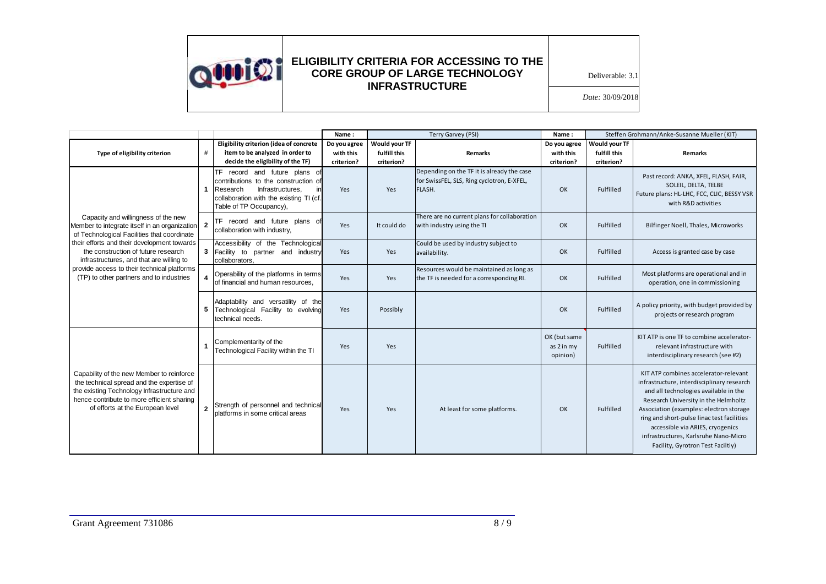

Deliverable: 3.1

|                                                                                                                                                                                                                           |                |                                                                                                                                                                                   | Name:                                   | Terry Garvey (PSI)                          |                                                                                                    | Name:                                   |                                             | Steffen Grohmann/Anke-Susanne Mueller (KIT)                                                                                                                                                                                                                                                                                                                                     |
|---------------------------------------------------------------------------------------------------------------------------------------------------------------------------------------------------------------------------|----------------|-----------------------------------------------------------------------------------------------------------------------------------------------------------------------------------|-----------------------------------------|---------------------------------------------|----------------------------------------------------------------------------------------------------|-----------------------------------------|---------------------------------------------|---------------------------------------------------------------------------------------------------------------------------------------------------------------------------------------------------------------------------------------------------------------------------------------------------------------------------------------------------------------------------------|
| Type of eligibility criterion                                                                                                                                                                                             | #              | Eligibility criterion (idea of concrete<br>item to be analyzed in order to<br>decide the eligibility of the TF)                                                                   | Do you agree<br>with this<br>criterion? | Would your TF<br>fulfill this<br>criterion? | <b>Remarks</b>                                                                                     | Do you agree<br>with this<br>criterion? | Would your TF<br>fulfill this<br>criterion? | <b>Remarks</b>                                                                                                                                                                                                                                                                                                                                                                  |
|                                                                                                                                                                                                                           |                | TF record and future plans of<br>contributions to the construction of<br>Research<br>Infrastructures,<br>in<br>collaboration with the existing TI (cf.<br>Table of TP Occupancy), | Yes                                     | Yes                                         | Depending on the TF it is already the case<br>for SwissFEL, SLS, Ring cyclotron, E-XFEL,<br>FLASH. | OK                                      | Fulfilled                                   | Past record: ANKA, XFEL, FLASH, FAIR,<br>SOLEIL, DELTA, TELBE<br>Future plans: HL-LHC, FCC, CLIC, BESSY VSR<br>with R&D activities                                                                                                                                                                                                                                              |
| Capacity and willingness of the new<br>Member to integrate itself in an organization 2<br>of Technological Facilities that coordinate                                                                                     |                | TF record and future plans of<br>collaboration with industry,                                                                                                                     | Yes                                     | It could do                                 | There are no current plans for collaboration<br>with industry using the TI                         | OK                                      | Fulfilled                                   | Bilfinger Noell, Thales, Microworks                                                                                                                                                                                                                                                                                                                                             |
| their efforts and their development towards<br>the construction of future research<br>infrastructures, and that are willing to<br>provide access to their technical platforms<br>(TP) to other partners and to industries | 3              | Accessibility of the Technological<br>Facility to partner and industry<br>collaborators.                                                                                          | Yes                                     | Yes                                         | Could be used by industry subject to<br>availability.                                              | OK                                      | Fulfilled                                   | Access is granted case by case                                                                                                                                                                                                                                                                                                                                                  |
|                                                                                                                                                                                                                           |                | Operability of the platforms in terms<br>of financial and human resources.                                                                                                        | Yes                                     | Yes                                         | Resources would be maintained as long as<br>the TF is needed for a corresponding RI.               | OK                                      | Fulfilled                                   | Most platforms are operational and in<br>operation, one in commissioning                                                                                                                                                                                                                                                                                                        |
|                                                                                                                                                                                                                           | 5              | Adaptability and versatility of the<br>Technological Facility to evolving<br>technical needs.                                                                                     | Yes                                     | Possibly                                    |                                                                                                    | OK                                      | Fulfilled                                   | A policy priority, with budget provided by<br>projects or research program                                                                                                                                                                                                                                                                                                      |
|                                                                                                                                                                                                                           |                | Complementarity of the<br>Technological Facility within the TI                                                                                                                    | Yes                                     | Yes                                         |                                                                                                    | OK (but same<br>as 2 in my<br>opinion)  | Fulfilled                                   | KIT ATP is one TF to combine accelerator-<br>relevant infrastructure with<br>interdisciplinary research (see #2)                                                                                                                                                                                                                                                                |
| Capability of the new Member to reinforce<br>the technical spread and the expertise of<br>the existing Technology Infrastructure and<br>hence contribute to more efficient sharing<br>of efforts at the European level    | $\overline{2}$ | Strength of personnel and technical<br>platforms in some critical areas                                                                                                           | Yes                                     | Yes                                         | At least for some platforms.                                                                       | OK                                      | Fulfilled                                   | KIT ATP combines accelerator-relevant<br>infrastructure, interdisciplinary research<br>and all technologies available in the<br>Research University in the Helmholtz<br>Association (examples: electron storage<br>ring and short-pulse linac test facilities<br>accessible via ARIES, cryogenics<br>infrastructures, Karlsruhe Nano-Micro<br>Facility, Gyrotron Test Faciltiy) |